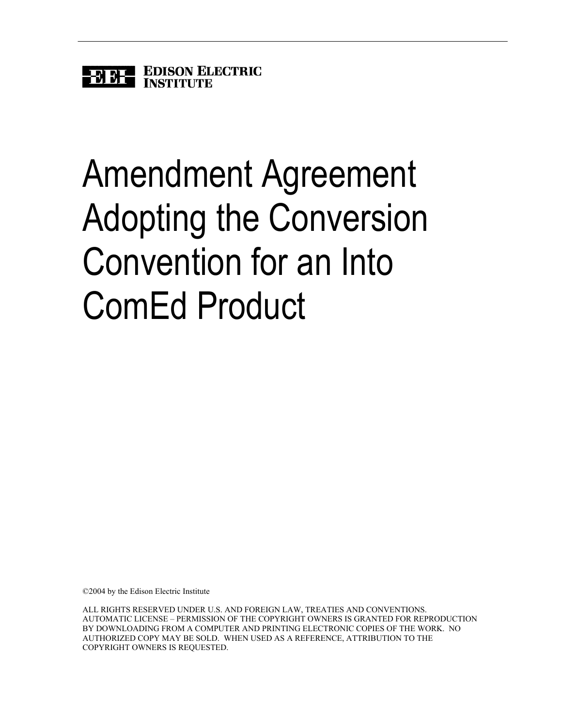

## Amendment Agreement Adopting the Conversion Convention for an Into ComEd Product

©2004 by the Edison Electric Institute

ALL RIGHTS RESERVED UNDER U.S. AND FOREIGN LAW, TREATIES AND CONVENTIONS. AUTOMATIC LICENSE – PERMISSION OF THE COPYRIGHT OWNERS IS GRANTED FOR REPRODUCTION BY DOWNLOADING FROM A COMPUTER AND PRINTING ELECTRONIC COPIES OF THE WORK. NO AUTHORIZED COPY MAY BE SOLD. WHEN USED AS A REFERENCE, ATTRIBUTION TO THE COPYRIGHT OWNERS IS REQUESTED.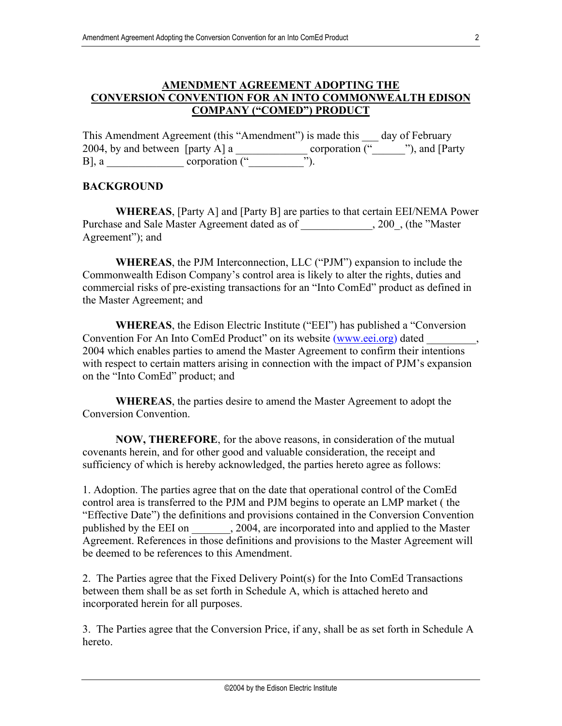## **AMENDMENT AGREEMENT ADOPTING THE CONVERSION CONVENTION FOR AN INTO COMMONWEALTH EDISON COMPANY ("COMED") PRODUCT**

This Amendment Agreement (this "Amendment") is made this day of February 2004, by and between [party A] a \_\_\_\_\_\_\_\_\_\_\_\_\_ corporation ("\_\_\_\_\_\_"), and [Party  $B$ ], a corporation ("

## **BACKGROUND**

**WHEREAS**, [Party A] and [Party B] are parties to that certain EEI/NEMA Power Purchase and Sale Master Agreement dated as of  $\qquad \qquad , 200$ , (the "Master Agreement"); and

**WHEREAS**, the PJM Interconnection, LLC ("PJM") expansion to include the Commonwealth Edison Company's control area is likely to alter the rights, duties and commercial risks of pre-existing transactions for an "Into ComEd" product as defined in the Master Agreement; and

**WHEREAS**, the Edison Electric Institute ("EEI") has published a "Conversion Convention For An Into ComEd Product" on its website ([www.eei.org\)](http://www.eei.org/) dated 2004 which enables parties to amend the Master Agreement to confirm their intentions with respect to certain matters arising in connection with the impact of PJM's expansion on the "Into ComEd" product; and

**WHEREAS**, the parties desire to amend the Master Agreement to adopt the Conversion Convention.

**NOW, THEREFORE**, for the above reasons, in consideration of the mutual covenants herein, and for other good and valuable consideration, the receipt and sufficiency of which is hereby acknowledged, the parties hereto agree as follows:

1. Adoption. The parties agree that on the date that operational control of the ComEd control area is transferred to the PJM and PJM begins to operate an LMP market ( the "Effective Date") the definitions and provisions contained in the Conversion Convention published by the EEI on \_\_\_\_\_\_, 2004, are incorporated into and applied to the Master Agreement. References in those definitions and provisions to the Master Agreement will be deemed to be references to this Amendment.

2. The Parties agree that the Fixed Delivery Point(s) for the Into ComEd Transactions between them shall be as set forth in Schedule A, which is attached hereto and incorporated herein for all purposes.

3. The Parties agree that the Conversion Price, if any, shall be as set forth in Schedule A hereto.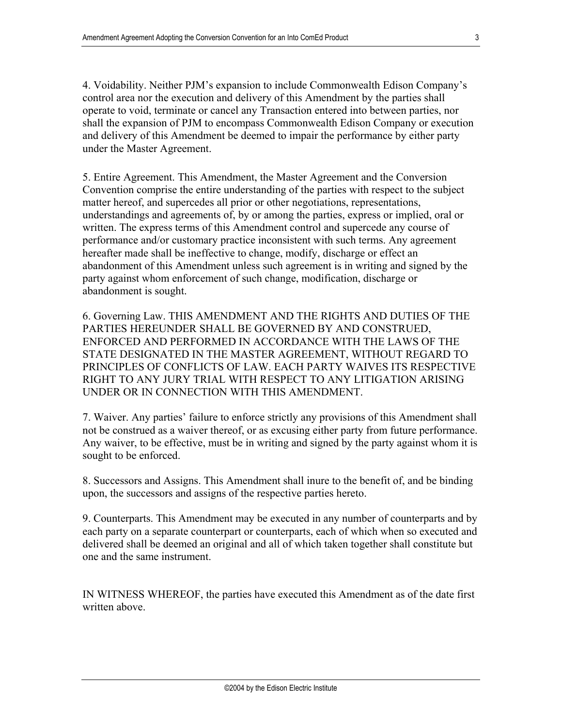4. Voidability. Neither PJM's expansion to include Commonwealth Edison Company's control area nor the execution and delivery of this Amendment by the parties shall operate to void, terminate or cancel any Transaction entered into between parties, nor shall the expansion of PJM to encompass Commonwealth Edison Company or execution and delivery of this Amendment be deemed to impair the performance by either party under the Master Agreement.

5. Entire Agreement. This Amendment, the Master Agreement and the Conversion Convention comprise the entire understanding of the parties with respect to the subject matter hereof, and supercedes all prior or other negotiations, representations, understandings and agreements of, by or among the parties, express or implied, oral or written. The express terms of this Amendment control and supercede any course of performance and/or customary practice inconsistent with such terms. Any agreement hereafter made shall be ineffective to change, modify, discharge or effect an abandonment of this Amendment unless such agreement is in writing and signed by the party against whom enforcement of such change, modification, discharge or abandonment is sought.

6. Governing Law. THIS AMENDMENT AND THE RIGHTS AND DUTIES OF THE PARTIES HEREUNDER SHALL BE GOVERNED BY AND CONSTRUED, ENFORCED AND PERFORMED IN ACCORDANCE WITH THE LAWS OF THE STATE DESIGNATED IN THE MASTER AGREEMENT, WITHOUT REGARD TO PRINCIPLES OF CONFLICTS OF LAW. EACH PARTY WAIVES ITS RESPECTIVE RIGHT TO ANY JURY TRIAL WITH RESPECT TO ANY LITIGATION ARISING UNDER OR IN CONNECTION WITH THIS AMENDMENT.

7. Waiver. Any parties' failure to enforce strictly any provisions of this Amendment shall not be construed as a waiver thereof, or as excusing either party from future performance. Any waiver, to be effective, must be in writing and signed by the party against whom it is sought to be enforced.

8. Successors and Assigns. This Amendment shall inure to the benefit of, and be binding upon, the successors and assigns of the respective parties hereto.

9. Counterparts. This Amendment may be executed in any number of counterparts and by each party on a separate counterpart or counterparts, each of which when so executed and delivered shall be deemed an original and all of which taken together shall constitute but one and the same instrument.

IN WITNESS WHEREOF, the parties have executed this Amendment as of the date first written above.